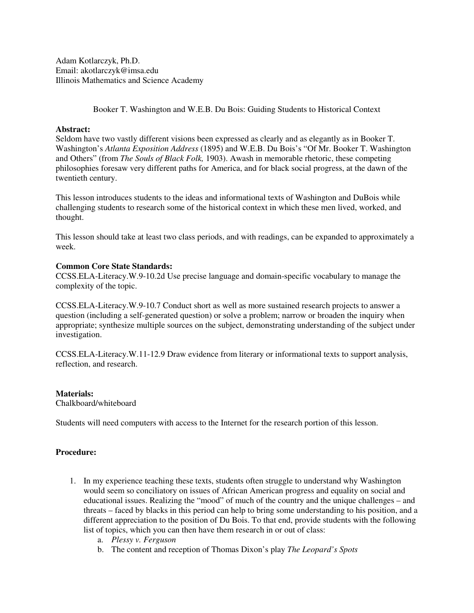Adam Kotlarczyk, Ph.D. Email: akotlarczyk@imsa.edu Illinois Mathematics and Science Academy

Booker T. Washington and W.E.B. Du Bois: Guiding Students to Historical Context

## **Abstract:**

Seldom have two vastly different visions been expressed as clearly and as elegantly as in Booker T. Washington's *Atlanta Exposition Address* (1895) and W.E.B. Du Bois's "Of Mr. Booker T. Washington and Others" (from *The Souls of Black Folk,* 1903). Awash in memorable rhetoric, these competing philosophies foresaw very different paths for America, and for black social progress, at the dawn of the twentieth century.

This lesson introduces students to the ideas and informational texts of Washington and DuBois while challenging students to research some of the historical context in which these men lived, worked, and thought.

This lesson should take at least two class periods, and with readings, can be expanded to approximately a week.

## **Common Core State Standards:**

CCSS.ELA-Literacy.W.9-10.2d Use precise language and domain-specific vocabulary to manage the complexity of the topic.

CCSS.ELA-Literacy.W.9-10.7 Conduct short as well as more sustained research projects to answer a question (including a self-generated question) or solve a problem; narrow or broaden the inquiry when appropriate; synthesize multiple sources on the subject, demonstrating understanding of the subject under investigation.

CCSS.ELA-Literacy.W.11-12.9 Draw evidence from literary or informational texts to support analysis, reflection, and research.

## **Materials:**

Chalkboard/whiteboard

Students will need computers with access to the Internet for the research portion of this lesson.

## **Procedure:**

- 1. In my experience teaching these texts, students often struggle to understand why Washington would seem so conciliatory on issues of African American progress and equality on social and educational issues. Realizing the "mood" of much of the country and the unique challenges – and threats – faced by blacks in this period can help to bring some understanding to his position, and a different appreciation to the position of Du Bois. To that end, provide students with the following list of topics, which you can then have them research in or out of class:
	- a. *Plessy v. Ferguson*
	- b. The content and reception of Thomas Dixon's play *The Leopard's Spots*